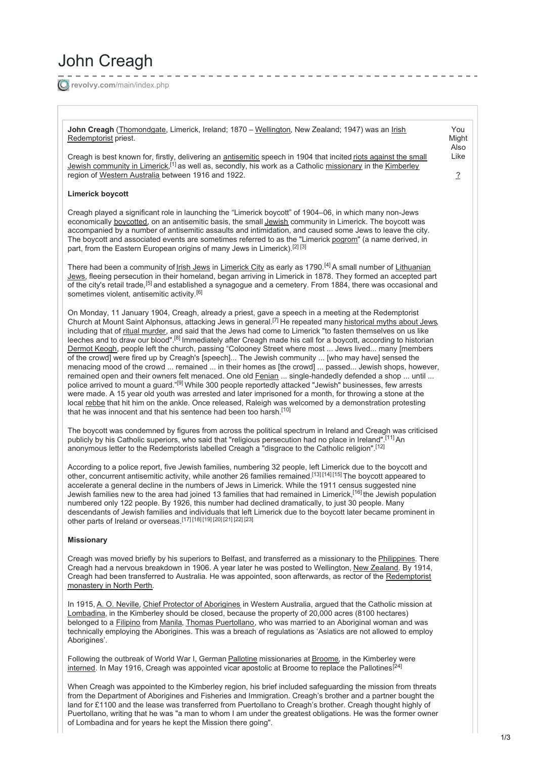# John Creagh

**revolvy.com**[/main/index.php](https://www.revolvy.com/main/index.php?s=John+Creagh&item_type=topic)

John Creagh ([Thomondgate](https://www.revolvy.com/main/index.php?s=Thomondgate&item_type=topic), Limerick, Ireland; 1870 – [Wellington](https://www.revolvy.com/main/index.php?s=Wellington&item_type=topic), New Zealand; 1947) was an *[Irish](https://www.revolvy.com/main/index.php?s=Irish+people&item_type=topic)* [Redemptorist](https://www.revolvy.com/main/index.php?s=Redemptorist&item_type=topic) priest.

Creagh is best known for, firstly, delivering an [antisemitic](https://www.revolvy.com/main/index.php?s=Antisemitic&item_type=topic) speech in 1904 that incited riots against the small Jewish [community](https://www.revolvy.com/main/index.php?s=Limerick+boycott&item_type=topic) in Limerick,<sup>[1]</sup> as well as, secondly, his work as a Catholic <u>[missionary](https://www.revolvy.com/main/index.php?s=Missionary&item_type=topic)</u> in the [Kimberley](https://www.revolvy.com/main/index.php?s=Kimberley+(Western+Australia)&item_type=topic) region of Western [Australia](https://www.revolvy.com/main/index.php?s=Western+Australia&item_type=topic) between 1916 and 1922.

### **Limerick boycott**

Creagh played a significant role in launching the "Limerick boycott" of 1904–06, in which many non-Jews economically [boycotted](https://www.revolvy.com/main/index.php?s=Boycott&item_type=topic), on an antisemitic basis, the small [Jewish](https://www.revolvy.com/main/index.php?s=Jews&item_type=topic) community in Limerick. The boycott was accompanied by a number of antisemitic assaults and intimidation, and caused some Jews to leave the city. The boycott and associated events are sometimes referred to as the "Limerick [pogrom](https://www.revolvy.com/main/index.php?s=Pogrom&item_type=topic)" (a name derived, in part, from the Eastern European origins of many Jews in Limerick).<sup>[2] [3]</sup>

There had been a community of <u>Irish [Jews](https://www.revolvy.com/main/index.php?s=History+of+the+Jews+in+Ireland&item_type=topic)</u> in <u>[Limerick](https://www.revolvy.com/main/index.php?s=Limerick+City&item_type=topic) City</u> as early as 1790.<sup>[4]</sup> A small number of Lithuanian Jews, fleeing [persecution](https://www.revolvy.com/main/index.php?s=Lithuanian+Jews&item_type=topic) in their homeland, began arriving in Limerick in 1878. They formed an accepted part of the city's retail trade,<sup>[5]</sup> and established a synagogue and a cemetery. From 1884, there was occasional and sometimes violent, antisemitic activity.<sup>[6]</sup>

On Monday, 11 January 1904, Creagh, already a priest, gave a speech in a meeting at the Redemptorist Church at Mount Saint Alphonsus, attacking Jews in general.<sup>[7]</sup> He repeated many [historical](https://www.revolvy.com/main/index.php?s=Antisemitic+canards&item_type=topic) myths about Jews, including that of ritual [murder](https://www.revolvy.com/main/index.php?s=Blood+libel&item_type=topic), and said that the Jews had come to Limerick "to fasten themselves on us like leeches and to draw our blood".<sup>[8]</sup> Immediately after Creagh made his call for a boycott, according to historian [Dermot](https://www.revolvy.com/main/index.php?s=Dermot+Keogh&item_type=topic) Keogh, people left the church, passing "Colooney Street where most ... Jews lived... many [members of the crowd] were fired up by Creagh's [speech]... The Jewish community ... [who may have] sensed the menacing mood of the crowd ... remained ... in their homes as [the crowd] ... passed... Jewish shops, however, remained open and their owners felt menaced. One old [Fenian](https://www.revolvy.com/main/index.php?s=Fenian&item_type=topic) ... single-handedly defended a shop ... until ... police arrived to mount a guard."<sup>[9]</sup> While 300 people reportedly attacked "Jewish" businesses, few arrests were made. A 15 year old youth was arrested and later imprisoned for a month, for throwing a stone at the local [rebbe](https://www.revolvy.com/main/index.php?s=Rebbe&item_type=topic) that hit him on the ankle. Once released, Raleigh was welcomed by a demonstration protesting that he was innocent and that his sentence had been too harsh.<sup>[10]</sup>

The boycott was condemned by figures from across the political spectrum in Ireland and Creagh was criticised publicly by his Catholic superiors, who said that "religious persecution had no place in Ireland".<sup>[11]</sup> An anonymous letter to the Redemptorists labelled Creagh a "disgrace to the Catholic religion". [12]

According to a police report, five Jewish families, numbering 32 people, left Limerick due to the boycott and other, concurrent antisemitic activity, while another 26 families remained.<sup>[13] [14] [15]</sup> The boycott appeared to accelerate a general decline in the numbers of Jews in Limerick. While the 1911 census suggested nine Jewish families new to the area had joined 13 families that had remained in Limerick,<sup>[16]</sup> the Jewish population numbered only 122 people. By 1926, this number had declined dramatically, to just 30 people. Many descendants of Jewish families and individuals that left Limerick due to the boycott later became prominent in other parts of Ireland or overseas. [17] [18] [19] [20] [21] [22] [23]

#### **Missionary**

Creagh was moved briefly by his superiors to Belfast, and transferred as a missionary to the [Philippines](https://www.revolvy.com/main/index.php?s=Philippines&item_type=topic). There Creagh had a nervous breakdown in 1906. A year later he was posted to Wellington, New [Zealand](https://www.revolvy.com/main/index.php?s=New+Zealand&item_type=topic). By 1914, Creagh had been transferred to Australia. He was appointed, soon afterwards, as rector of the [Redemptorist](https://www.revolvy.com/main/index.php?s=Redemptorist+Monastery,+North+Perth&item_type=topic) monastery in North Perth.

In 1915, A. O. [Neville](https://www.revolvy.com/main/index.php?s=A.+O.+Neville&item_type=topic), Chief Protector of [Aborigines](https://www.revolvy.com/main/index.php?s=Chief+Protector+of+Aborigines&item_type=topic) in Western Australia, argued that the Catholic mission at [Lombadina](https://www.revolvy.com/main/index.php?s=Lombadina&item_type=topic), in the Kimberley should be closed, because the property of 20,000 acres (8100 hectares) belonged to a [Filipino](https://www.revolvy.com/main/index.php?s=Filipino+people&item_type=topic) from [Manila](https://www.revolvy.com/main/index.php?s=Manila&item_type=topic), Thomas [Puertollano](https://www.revolvy.com/main/index.php?s=Thomas+Puertollano&stype=topics), who was married to an Aboriginal woman and was technically employing the Aborigines. This was a breach of regulations as 'Asiatics are not allowed to employ Aborigines'.

Following the outbreak of World War I, German [Pallotine](https://www.revolvy.com/main/index.php?s=Pallotine&item_type=topic) missionaries at [Broome](https://www.revolvy.com/main/index.php?s=Broome,+Western+Australia&item_type=topic), in the Kimberley were [interned](https://www.revolvy.com/main/index.php?s=Interned&item_type=topic). In May 1916, Creagh was appointed vicar apostolic at Broome to replace the Pallotines.<sup>[24]</sup>

When Creagh was appointed to the Kimberley region, his brief included safeguarding the mission from threats from the Department of Aborigines and Fisheries and Immigration. Creagh's brother and a partner bought the land for £1100 and the lease was transferred from Puertollano to Creagh's brother. Creagh thought highly of Puertollano, writing that he was "a man to whom I am under the greatest obligations. He was the former owner of Lombadina and for years he kept the Mission there going".

[?](https://www.content.ad/AboutUs?utm_medium=modal&utm_source=widget_438150&widgetId=438150&d=Desktop&u=https%3A%2F%2Fwww.revolvy.com%2Fmain%2Findex.php%3Fs%3DJohn%2BCreagh%26item_type%3Dtopic)